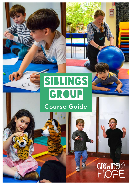# SIBLINGS

 $\ll$ 

### **Course Guide**

Growing

 $\ddot{\text{o}}$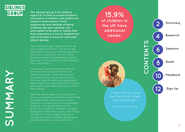

**The siblings group is for children aged 5-11. It aims to enable brothers and sisters of children with additional needs to share some of their experiences and feelings of being a sibling. We want siblings who participate to be able to realise that their experience is not an isolated one and to be able to connect with each other's stories.** 

Each siblings group needs to be run by two trained facilitators. The group can take place in any local community setting (such as in a school or church). Once facilitators have completed the training they can run the group as many times as they would like to.

The group is specifically designed for brothers and sisters of children with additional needs. These needs could be wide ranging and include physical, learning, mental health or undiagnosed needs which are impacting upon a child's participation and their behaviour within their family.

Over the seven weeks of the group the focus is on enabling children to participate and share their experience through a range of activities such as using puppets, painting, writing and drawing. The group also supports children to develop strategies to help them cope when things are difficult, this includes, drawing or writing down their feelings, taking deep breaths and other calming activities.

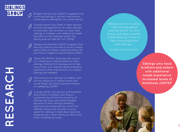

Bridget Murray Law (2020) 2 suggests that involving siblings in autism intervention could help to strengthen the whole family.

Studies report how there is often tension around the expectation for older siblings to look after their brother or sister. Also, siblings of children with additional needs are often on the sidelines within the family and can feel left out. (2018) 3



Sharpe and Rossiter (2002) 4 suggest that having a sibling who has a chronic illness, particularly an illness impacting daily life, can have a negative psychological effect.



Tsang Ma (2004) 5 discusses the impact of a child's poor mental health on their siblings, finding that siblings are at high risk of their own mental health problems and that further interventions to support siblings are needed.



Interventions for siblings of children with chronic physical or mental illness and found these can have a positive impact on wellbeing. (2018) 6

A study  $(2012)^7$  carried out with brothers and sisters of children with Down's syndrome found that the majority of siblings felt they were better people because of their siblings disability. We have also observed this within the Siblings Group and we want to give space for siblings to talk about positive experiences in their family as well as the more challenging times.

"Really well run & useful. I feel well equipped and excited to run this group, and have a better understanding of how to listen and empathise with siblings."

Facilitator Training Attendee

**Siblings who have brothers and sisters with additional needs experience increased levels of loneliness. (2009) 8**

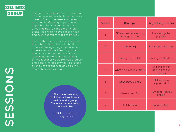

The group is designed to run as seven 45 minute sessions which happen once a week. The course uses equipment provided by Growing Hope, games, puppets, interactive activities and a feelings box to consider different scenarios children have experienced and how that might make them feel.

Each of the seven sessions is designed to enable children to think about different feelings they may have and different situations they may have been in. A summary of the sessions is seen in the table. Through giving different scenarios we provide brothers and sisters the opportunity to process a range of experiences and also think about their own examples.

> **"The course was easy to follow and equips you well to lead a group. The resources are really useful and clear!"**

- Siblings Group Facilitator

| <b>Session</b> | <b>Key topic</b>                         | Key activity or story                         |
|----------------|------------------------------------------|-----------------------------------------------|
| 1              | Differences between my<br>sibling and me | Introducing the<br>puppets                    |
| $\overline{2}$ | My family                                | Painting our families                         |
| 3              | Feeling responsible                      | Bouncy castle story                           |
| $\overline{4}$ | What it's like in my family              | Looking at our<br>painting of our<br>families |
| 5              | When people stare                        | Melt down in<br>supermarket                   |
| 6              | When it's not fair                       | Mum and Monkey<br>baking                      |
|                | Celebration                              | Luggage tags                                  |

**SESSIONS** SESSIONS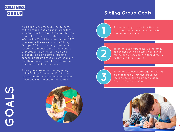

As a charity, we measure the outcome of the groups that we run in order that we can show the impact they are having to grant providers and future attendees. We use the Goal Attainment Scale (GAS) to measure the success of the Sibling Groups. GAS is commonly used within research to measure the effectiveness of therapeutic activities. GAS goals are seen to be an appropriate and sensitive outcome measure which allow healthcare professional to meaure the effectiveness of their services.

Three goals are set at the beginning of the Sibling Groups and Facilitators record whether children have achieved these goals at the end of the course.



#### **Sibling Group Goals:**

To be able to participate within the the end of session 7.



To be able to share a story of a family experience with an emotion attached or through their puppet).

To be able to use a strategy for letting go of feelings within the group e.g. feelings box, telling someone, deep breaths, hand massage.

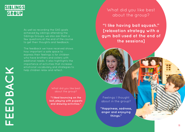### SIBLINGS GROUP

As well as recording the GAS goals achieved by siblings attending the Siblings Groups, we also ask them a few questions at the end of the course to get their thoughts and feedback.

The feedback we have received shows how important a safe space to express their feelings is for children who have brothers and sisters with additonal needs. It also hightlights the importance of activities that increase emotional vocabulary and strategies to help children relax and reflect.

about the group?

**"I liked bouncing on the ball, playing with puppets and drawing activities."**

#### What did you like best about the group?

**"I like having ball squash." [relaxation strategy with a gym ball used at the end of the sessions]**

Feelings I thought about in the group?

**"Happiness, sadness, anger and enjoying things."**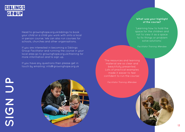### SIBLINGS GROUP

Head to growinghope.org.uk/siblings to book your child or a child you work with onto a local in-person course. We can also run courses for schools, churches and other organisations.

If you are interested in becoming a Siblings Group Facilitator and running the course in your local area go to growinghope.org.uk/training for more information and to sign up.

If you have any questions then please get in touch by emailing: info@growinghope.org.uk



#### **What was your highlight of the course?**

'Learning how to hold the space for the children and not to view it as a space to fix things or problem solve solutions.'

Facilitator Training Attendee

'The resources and learning material are so clear and Lots of practical examples made it easier to feel confident to run the course.'

Facilitator Training Attendee